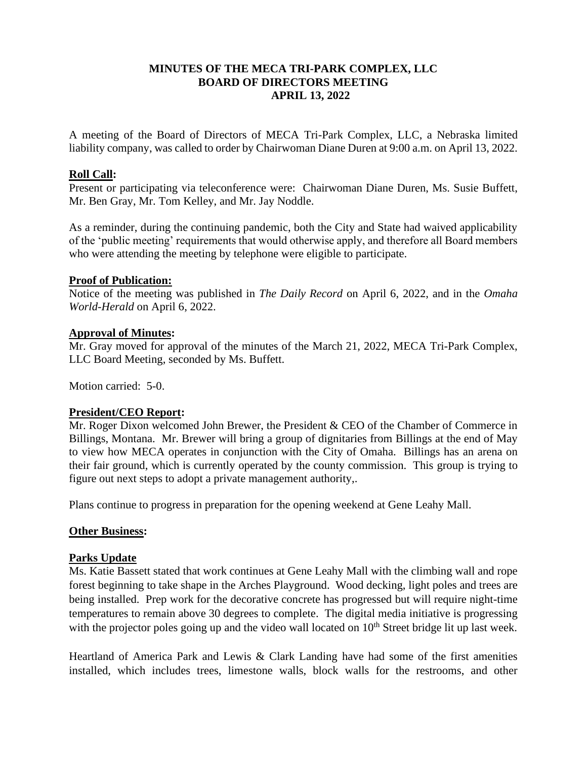# **MINUTES OF THE MECA TRI-PARK COMPLEX, LLC BOARD OF DIRECTORS MEETING APRIL 13, 2022**

A meeting of the Board of Directors of MECA Tri-Park Complex, LLC, a Nebraska limited liability company, was called to order by Chairwoman Diane Duren at 9:00 a.m. on April 13, 2022.

## **Roll Call:**

Present or participating via teleconference were: Chairwoman Diane Duren, Ms. Susie Buffett, Mr. Ben Gray, Mr. Tom Kelley, and Mr. Jay Noddle.

As a reminder, during the continuing pandemic, both the City and State had waived applicability of the 'public meeting' requirements that would otherwise apply, and therefore all Board members who were attending the meeting by telephone were eligible to participate.

# **Proof of Publication:**

Notice of the meeting was published in *The Daily Record* on April 6, 2022, and in the *Omaha World-Herald* on April 6, 2022.

## **Approval of Minutes:**

Mr. Gray moved for approval of the minutes of the March 21, 2022, MECA Tri-Park Complex, LLC Board Meeting, seconded by Ms. Buffett.

Motion carried: 5-0.

# **President/CEO Report:**

Mr. Roger Dixon welcomed John Brewer, the President & CEO of the Chamber of Commerce in Billings, Montana. Mr. Brewer will bring a group of dignitaries from Billings at the end of May to view how MECA operates in conjunction with the City of Omaha. Billings has an arena on their fair ground, which is currently operated by the county commission. This group is trying to figure out next steps to adopt a private management authority,.

Plans continue to progress in preparation for the opening weekend at Gene Leahy Mall.

# **Other Business:**

# **Parks Update**

Ms. Katie Bassett stated that work continues at Gene Leahy Mall with the climbing wall and rope forest beginning to take shape in the Arches Playground. Wood decking, light poles and trees are being installed. Prep work for the decorative concrete has progressed but will require night-time temperatures to remain above 30 degrees to complete. The digital media initiative is progressing with the projector poles going up and the video wall located on 10<sup>th</sup> Street bridge lit up last week.

Heartland of America Park and Lewis & Clark Landing have had some of the first amenities installed, which includes trees, limestone walls, block walls for the restrooms, and other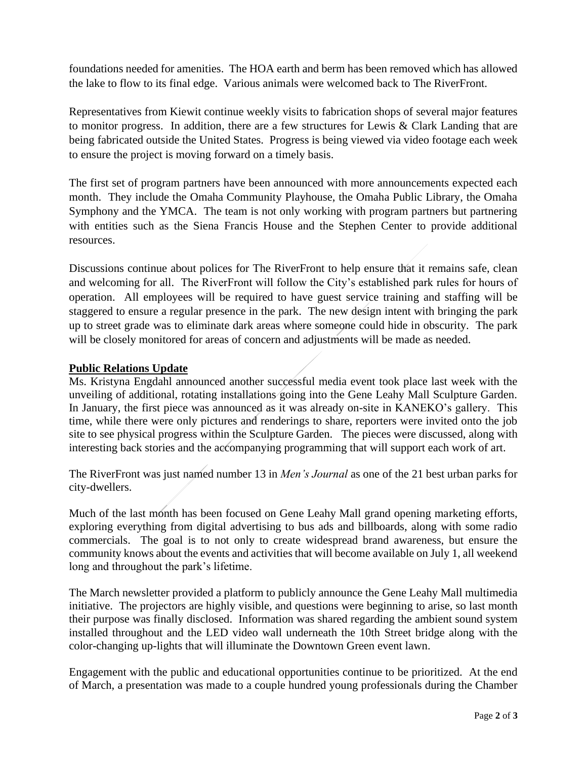foundations needed for amenities. The HOA earth and berm has been removed which has allowed the lake to flow to its final edge. Various animals were welcomed back to The RiverFront.

Representatives from Kiewit continue weekly visits to fabrication shops of several major features to monitor progress. In addition, there are a few structures for Lewis & Clark Landing that are being fabricated outside the United States. Progress is being viewed via video footage each week to ensure the project is moving forward on a timely basis.

The first set of program partners have been announced with more announcements expected each month. They include the Omaha Community Playhouse, the Omaha Public Library, the Omaha Symphony and the YMCA. The team is not only working with program partners but partnering with entities such as the Siena Francis House and the Stephen Center to provide additional resources.

Discussions continue about polices for The RiverFront to help ensure that it remains safe, clean and welcoming for all. The RiverFront will follow the City's established park rules for hours of operation. All employees will be required to have guest service training and staffing will be staggered to ensure a regular presence in the park. The new design intent with bringing the park up to street grade was to eliminate dark areas where someone could hide in obscurity. The park will be closely monitored for areas of concern and adjustments will be made as needed.

# **Public Relations Update**

Ms. Kristyna Engdahl announced another successful media event took place last week with the unveiling of additional, rotating installations going into the Gene Leahy Mall Sculpture Garden. In January, the first piece was announced as it was already on-site in KANEKO's gallery. This time, while there were only pictures and renderings to share, reporters were invited onto the job site to see physical progress within the Sculpture Garden. The pieces were discussed, along with interesting back stories and the accompanying programming that will support each work of art.

The RiverFront was just named number 13 in *Men's Journal* as one of the 21 best urban parks for city-dwellers.

Much of the last month has been focused on Gene Leahy Mall grand opening marketing efforts, exploring everything from digital advertising to bus ads and billboards, along with some radio commercials. The goal is to not only to create widespread brand awareness, but ensure the community knows about the events and activities that will become available on July 1, all weekend long and throughout the park's lifetime.

The March newsletter provided a platform to publicly announce the Gene Leahy Mall multimedia initiative. The projectors are highly visible, and questions were beginning to arise, so last month their purpose was finally disclosed. Information was shared regarding the ambient sound system installed throughout and the LED video wall underneath the 10th Street bridge along with the color-changing up-lights that will illuminate the Downtown Green event lawn.

Engagement with the public and educational opportunities continue to be prioritized. At the end of March, a presentation was made to a couple hundred young professionals during the Chamber